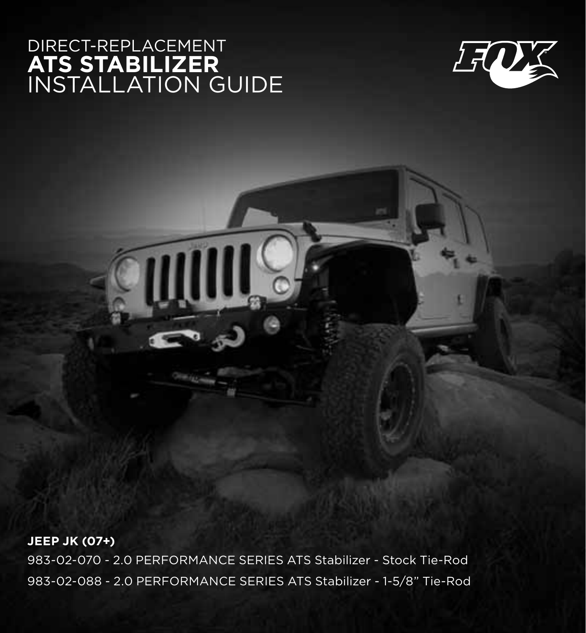## DIRECT-REPLA **ats stabilizer** installation guide



**jeep jk (07+)**

983-02-070 - 2.0 PERFORMANCE SERIES ATS Stabilizer - Stock Tie-Rod 983-02-088 - 2.0 PERFORMANCE SERIES ATS Stabilizer - 1-5/8" Tie-Rod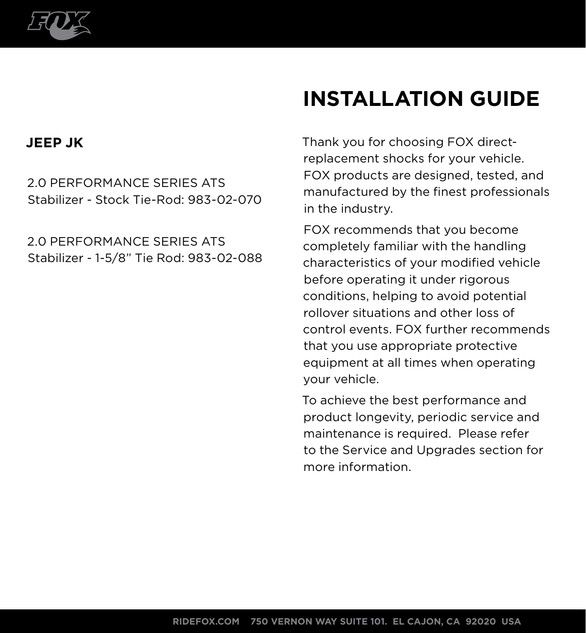

# **INSTALLATION guide**

#### **JEEP JK**

2.0 PERFORMANCE SERIES ATS Stabilizer - Stock Tie-Rod: 983-02-070

2.0 PERFORMANCE SERIES ATS Stabilizer - 1-5/8" Tie Rod: 983-02-088 Thank you for choosing FOX directreplacement shocks for your vehicle. FOX products are designed, tested, and manufactured by the finest professionals in the industry.

FOX recommends that you become completely familiar with the handling characteristics of your modified vehicle before operating it under rigorous conditions, helping to avoid potential rollover situations and other loss of control events. FOX further recommends that you use appropriate protective equipment at all times when operating your vehicle.

To achieve the best performance and product longevity, periodic service and maintenance is required. Please refer to the Service and Upgrades section for more information.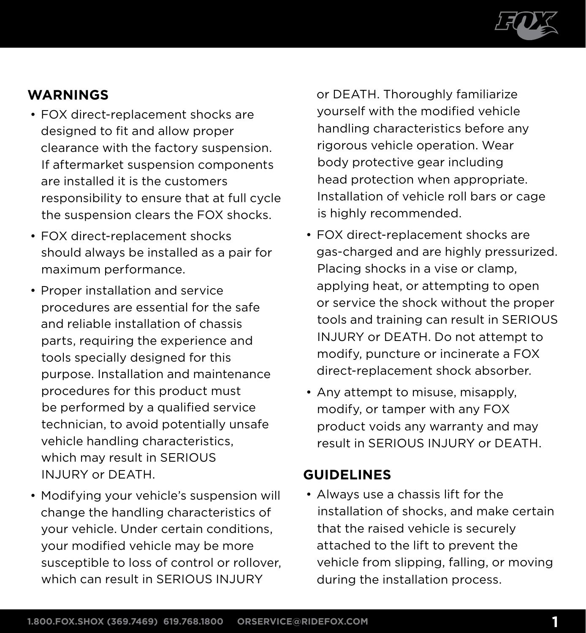

#### **warnings**

- FOX direct-replacement shocks are designed to fit and allow proper clearance with the factory suspension. If aftermarket suspension components are installed it is the customers responsibility to ensure that at full cycle the suspension clears the FOX shocks.
- FOX direct-replacement shocks should always be installed as a pair for maximum performance.
- Proper installation and service procedures are essential for the safe and reliable installation of chassis parts, requiring the experience and tools specially designed for this purpose. Installation and maintenance procedures for this product must be performed by a qualified service technician, to avoid potentially unsafe vehicle handling characteristics, which may result in SERIOUS INJURY or DEATH.
- Modifying your vehicle's suspension will change the handling characteristics of your vehicle. Under certain conditions, your modified vehicle may be more susceptible to loss of control or rollover, which can result in SERIOUS INJURY

or DEATH. Thoroughly familiarize yourself with the modified vehicle handling characteristics before any rigorous vehicle operation. Wear body protective gear including head protection when appropriate. Installation of vehicle roll bars or cage is highly recommended.

- FOX direct-replacement shocks are gas-charged and are highly pressurized. Placing shocks in a vise or clamp, applying heat, or attempting to open or service the shock without the proper tools and training can result in SERIOUS INJURY or DEATH. Do not attempt to modify, puncture or incinerate a FOX direct-replacement shock absorber.
- Any attempt to misuse, misapply, modify, or tamper with any FOX product voids any warranty and may result in SERIOUS INJURY or DEATH.

#### **Guidelines**

• Always use a chassis lift for the installation of shocks, and make certain that the raised vehicle is securely attached to the lift to prevent the vehicle from slipping, falling, or moving during the installation process.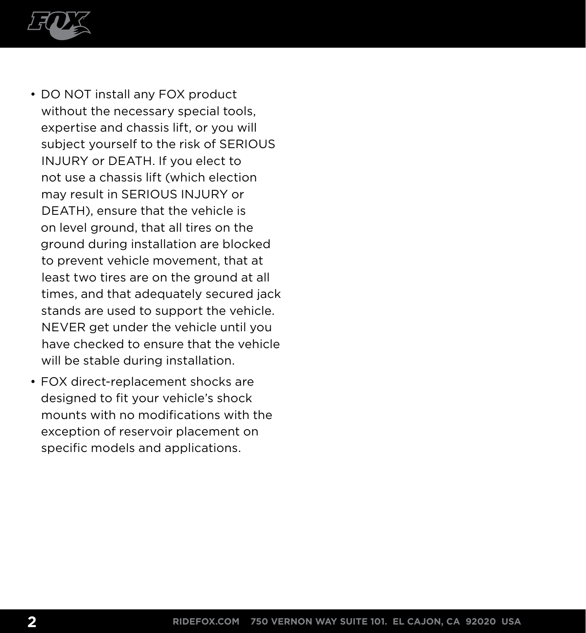

- DO NOT install any FOX product without the necessary special tools, expertise and chassis lift, or you will subject yourself to the risk of SERIOUS INJURY or DEATH. If you elect to not use a chassis lift (which election may result in SERIOUS INJURY or DEATH), ensure that the vehicle is on level ground, that all tires on the ground during installation are blocked to prevent vehicle movement, that at least two tires are on the ground at all times, and that adequately secured jack stands are used to support the vehicle. NEVER get under the vehicle until you have checked to ensure that the vehicle will be stable during installation.
- FOX direct-replacement shocks are designed to fit your vehicle's shock mounts with no modifications with the exception of reservoir placement on specific models and applications.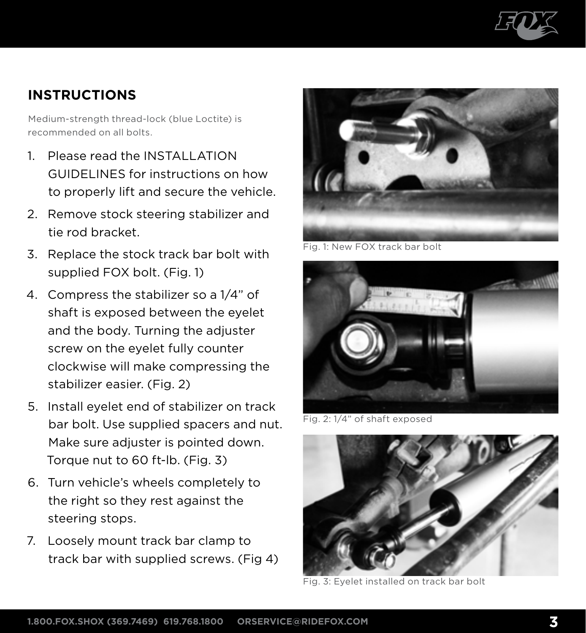

#### **instructions**

Medium-strength thread-lock (blue Loctite) is recommended on all bolts.

- 1 Please read the INSTALLATION GUIDELINES for instructions on how to properly lift and secure the vehicle.
- 2. Remove stock steering stabilizer and tie rod bracket.
- 3. Replace the stock track bar bolt with supplied FOX bolt. (Fig. 1)
- 4. Compress the stabilizer so a 1/4" of shaft is exposed between the eyelet and the body. Turning the adjuster screw on the eyelet fully counter clockwise will make compressing the stabilizer easier. (Fig. 2)
- 5. Install eyelet end of stabilizer on track bar bolt. Use supplied spacers and nut. Make sure adjuster is pointed down. Torque nut to 60 ft-lb. (Fig. 3)
- 6. Turn vehicle's wheels completely to the right so they rest against the steering stops.
- 7. Loosely mount track bar clamp to track bar with supplied screws. (Fig 4)



Fig. 1: New FOX track bar bolt



Fig. 2: 1/4" of shaft exposed



Fig. 3: Eyelet installed on track bar bolt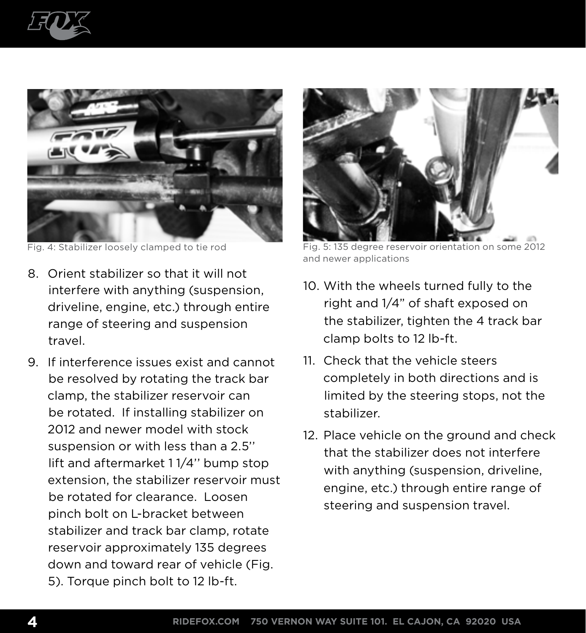



- 8. Orient stabilizer so that it will not interfere with anything (suspension, driveline, engine, etc.) through entire range of steering and suspension travel.
- 9. If interference issues exist and cannot be resolved by rotating the track bar clamp, the stabilizer reservoir can be rotated. If installing stabilizer on 2012 and newer model with stock suspension or with less than a 2.5'' lift and aftermarket 1 1/4'' bump stop extension, the stabilizer reservoir must be rotated for clearance. Loosen pinch bolt on L-bracket between stabilizer and track bar clamp, rotate reservoir approximately 135 degrees down and toward rear of vehicle (Fig. 5). Torque pinch bolt to 12 lb-ft.



Fig. 4: Stabilizer loosely clamped to tie rod Fig. 5: 135 degree reservoir orientation on some 2012 and newer applications

- 10. With the wheels turned fully to the right and 1/4" of shaft exposed on the stabilizer, tighten the 4 track bar clamp bolts to 12 lb-ft.
- 11. Check that the vehicle steers completely in both directions and is limited by the steering stops, not the stabilizer.
- 12. Place vehicle on the ground and check that the stabilizer does not interfere with anything (suspension, driveline, engine, etc.) through entire range of steering and suspension travel.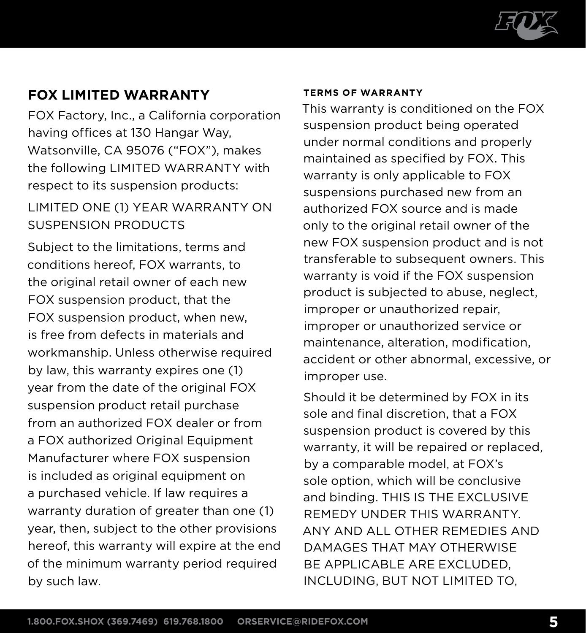

#### **FOX Limited Warranty**

FOX Factory, Inc., a California corporation having offices at 130 Hangar Way, Watsonville, CA 95076 ("FOX"), makes the following LIMITED WARRANTY with respect to its suspension products:

#### LIMITED ONE (1) YEAR WARRANTY ON SUSPENSION PRODUCTS

Subject to the limitations, terms and conditions hereof, FOX warrants, to the original retail owner of each new FOX suspension product, that the FOX suspension product, when new, is free from defects in materials and workmanship. Unless otherwise required by law, this warranty expires one (1) year from the date of the original FOX suspension product retail purchase from an authorized FOX dealer or from a FOX authorized Original Equipment Manufacturer where FOX suspension is included as original equipment on a purchased vehicle. If law requires a warranty duration of greater than one (1) year, then, subject to the other provisions hereof, this warranty will expire at the end of the minimum warranty period required by such law.

#### **Terms of Warranty**

This warranty is conditioned on the FOX suspension product being operated under normal conditions and properly maintained as specified by FOX. This warranty is only applicable to FOX suspensions purchased new from an authorized FOX source and is made only to the original retail owner of the new FOX suspension product and is not transferable to subsequent owners. This warranty is void if the FOX suspension product is subjected to abuse, neglect, improper or unauthorized repair, improper or unauthorized service or maintenance, alteration, modification, accident or other abnormal, excessive, or improper use.

Should it be determined by FOX in its sole and final discretion, that a FOX suspension product is covered by this warranty, it will be repaired or replaced, by a comparable model, at FOX's sole option, which will be conclusive and binding. THIS IS THE EXCLUSIVE REMEDY UNDER THIS WARRANTY. ANY AND ALL OTHER REMEDIES AND DAMAGES THAT MAY OTHERWISE BE APPLICABLE ARE EXCLUDED. INCLUDING, BUT NOT LIMITED TO,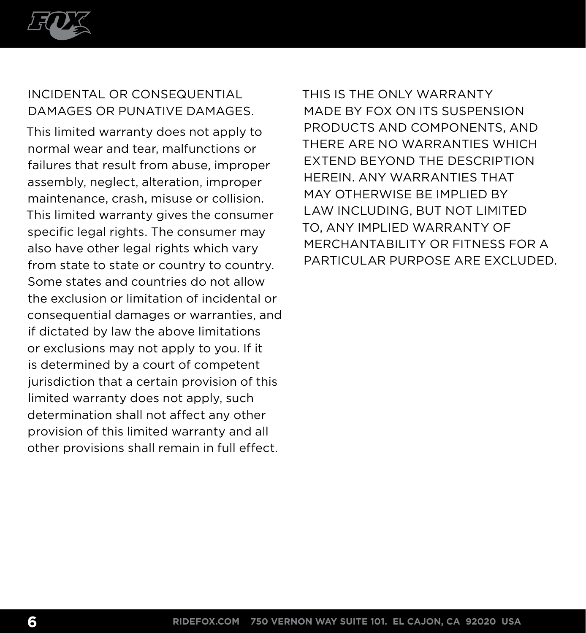

#### INCIDENTAL OR CONSEQUENTIAL DAMAGES OR PUNATIVE DAMAGES.

This limited warranty does not apply to normal wear and tear, malfunctions or failures that result from abuse, improper assembly, neglect, alteration, improper maintenance, crash, misuse or collision. This limited warranty gives the consumer specific legal rights. The consumer may also have other legal rights which vary from state to state or country to country. Some states and countries do not allow the exclusion or limitation of incidental or consequential damages or warranties, and if dictated by law the above limitations or exclusions may not apply to you. If it is determined by a court of competent jurisdiction that a certain provision of this limited warranty does not apply, such determination shall not affect any other provision of this limited warranty and all other provisions shall remain in full effect.

THIS IS THE ONLY WARRANTY MADE BY FOX ON ITS SUSPENSION PRODUCTS AND COMPONENTS, AND THERE ARE NO WARRANTIES WHICH EXTEND BEYOND THE DESCRIPTION HEREIN. ANY WARRANTIES THAT MAY OTHERWISE BE IMPLIED BY LAW INCLUDING, BUT NOT LIMITED TO, ANY IMPLIED WARRANTY OF MERCHANTABILITY OR FITNESS FOR A PARTICULAR PURPOSE ARE EXCLUDED.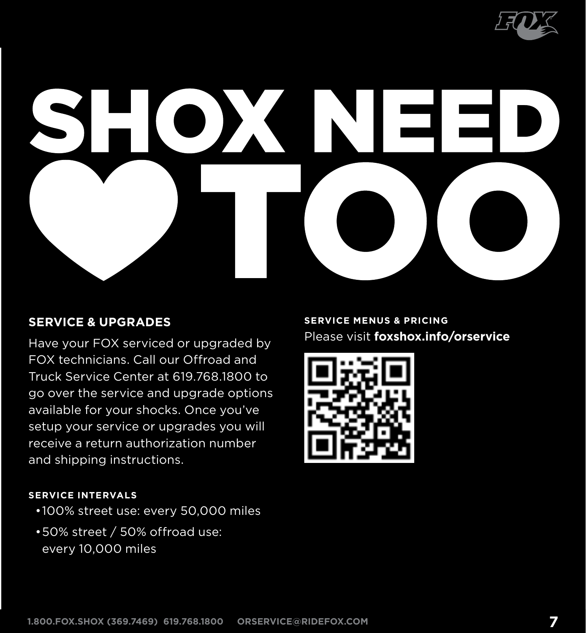

# $\sum_{i=1}^{n}$

#### **Service & Upgrades**

Have your FOX serviced or upgraded by FOX technicians. Call our Offroad and Truck Service Center at 619.768.1800 to go over the service and upgrade options available for your shocks. Once you've setup your service or upgrades you will receive a return authorization number and shipping instructions.

#### **Service menus & pricing** Please visit **foxshox.info/orservice**



#### **Service InterVals**

- •100% street use: every 50,000 miles
- •50% street / 50% offroad use: every 10,000 miles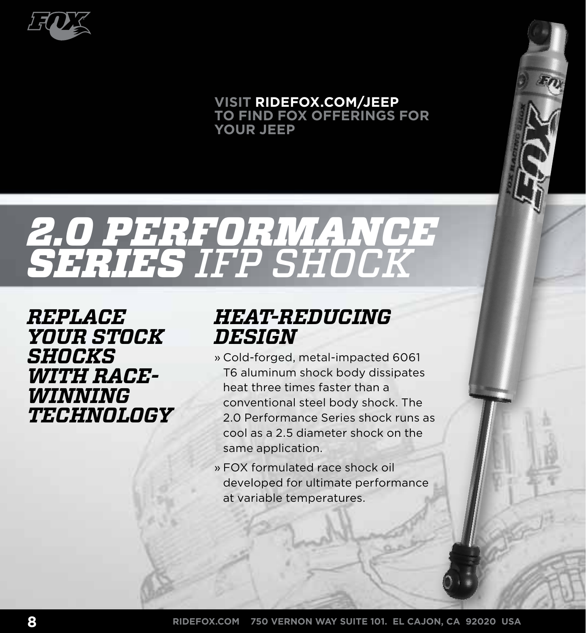

#### **VISIT RIDEFOX.COM/J to find FOX offerings for your JEEP**

# *2.0 Performance Series IFP Shock*

*Replace your stock shocks with racewinning technology*

## *Heat-Reducing Design*

- » Cold-forged, metal-impacted 6061 T6 aluminum shock body dissipates heat three times faster than a conventional steel body shock. The 2.0 Performance Series shock runs as cool as a 2.5 diameter shock on the same application.
- » FOX formulated race shock oil developed for ultimate performance at variable temperatures.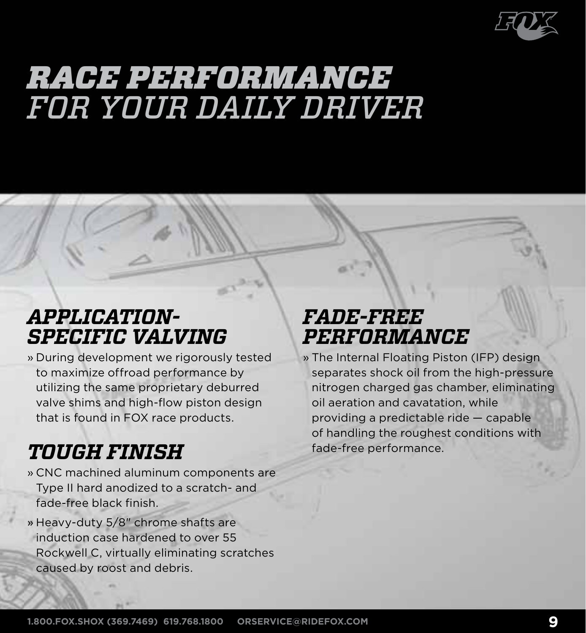

# *race Performance for your daily driver*

## *Application-Specific Valving*

» During development we rigorously tested to maximize offroad performance by utilizing the same proprietary deburred valve shims and high-flow piston design that is found in FOX race products.

# *Tough Finish*

- » CNC machined aluminum components are Type II hard anodized to a scratch- and fade-free black finish.
- » Heavy-duty 5/8" chrome shafts are induction case hardened to over 55 Rockwell C, virtually eliminating scratches caused by roost and debris.

# *Fade-Free Performance*

» The Internal Floating Piston (IFP) design separates shock oil from the high-pressure nitrogen charged gas chamber, eliminating oil aeration and cavatation, while providing a predictable ride — capable of handling the roughest conditions with fade-free performance.